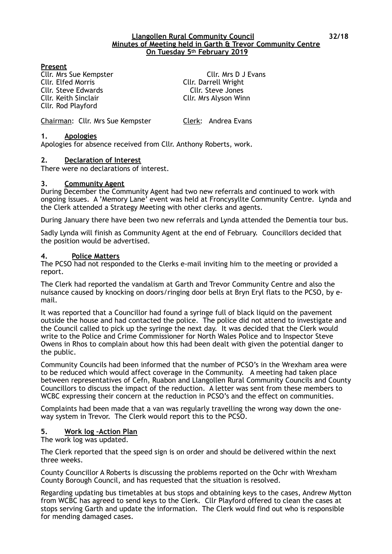#### **Llangollen Rural Community Council 32/18 Minutes of Meeting held in Garth & Trevor Community Centre On Tuesday 5th February 2019**

### **Present**

Cllr. Elfed Morris Cllr. Darrell Wright Cllr. Steve Edwards Cllr. Steve Jones Cllr. Keith Sinclair Cllr. Mrs Alyson Winn Cllr. Rod Playford

Cllr. Mrs Sue Kempster Cllr. Mrs D J Evans

Chairman: Cllr. Mrs Sue Kempster Clerk: Andrea Evans

### **1. Apologies**

Apologies for absence received from Cllr. Anthony Roberts, work.

### **2. Declaration of Interest**

There were no declarations of interest.

#### **3. Community Agent**

During December the Community Agent had two new referrals and continued to work with ongoing issues. A 'Memory Lane' event was held at Froncysyllte Community Centre. Lynda and the Clerk attended a Strategy Meeting with other clerks and agents.

During January there have been two new referrals and Lynda attended the Dementia tour bus.

Sadly Lynda will finish as Community Agent at the end of February. Councillors decided that the position would be advertised.

### **4. Police Matters**

The PCSO had not responded to the Clerks e-mail inviting him to the meeting or provided a report.

The Clerk had reported the vandalism at Garth and Trevor Community Centre and also the nuisance caused by knocking on doors/ringing door bells at Bryn Eryl flats to the PCSO, by email.

It was reported that a Councillor had found a syringe full of black liquid on the pavement outside the house and had contacted the police. The police did not attend to investigate and the Council called to pick up the syringe the next day. It was decided that the Clerk would write to the Police and Crime Commissioner for North Wales Police and to Inspector Steve Owens in Rhos to complain about how this had been dealt with given the potential danger to the public.

Community Councils had been informed that the number of PCSO's in the Wrexham area were to be reduced which would affect coverage in the Community. A meeting had taken place between representatives of Cefn, Ruabon and Llangollen Rural Community Councils and County Councillors to discuss the impact of the reduction. A letter was sent from these members to WCBC expressing their concern at the reduction in PCSO's and the effect on communities.

Complaints had been made that a van was regularly travelling the wrong way down the oneway system in Trevor. The Clerk would report this to the PCSO.

#### **5. Work log –Action Plan**

The work log was updated.

The Clerk reported that the speed sign is on order and should be delivered within the next three weeks.

County Councillor A Roberts is discussing the problems reported on the Ochr with Wrexham County Borough Council, and has requested that the situation is resolved.

Regarding updating bus timetables at bus stops and obtaining keys to the cases, Andrew Mytton from WCBC has agreed to send keys to the Clerk. Cllr Playford offered to clean the cases at stops serving Garth and update the information. The Clerk would find out who is responsible for mending damaged cases.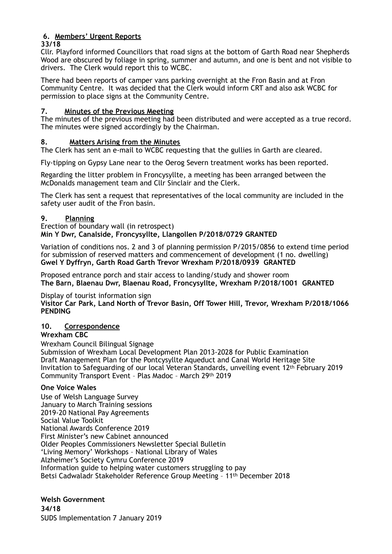# **6. Members' Urgent Reports**

**33/18**

Cllr. Playford informed Councillors that road signs at the bottom of Garth Road near Shepherds Wood are obscured by foliage in spring, summer and autumn, and one is bent and not visible to drivers. The Clerk would report this to WCBC.

There had been reports of camper vans parking overnight at the Fron Basin and at Fron Community Centre. It was decided that the Clerk would inform CRT and also ask WCBC for permission to place signs at the Community Centre.

# **7. Minutes of the Previous Meeting**

The minutes of the previous meeting had been distributed and were accepted as a true record. The minutes were signed accordingly by the Chairman.

# **8. Matters Arising from the Minutes**

The Clerk has sent an e-mail to WCBC requesting that the gullies in Garth are cleared.

Fly-tipping on Gypsy Lane near to the Oerog Severn treatment works has been reported.

Regarding the litter problem in Froncysyllte, a meeting has been arranged between the McDonalds management team and Cllr Sinclair and the Clerk.

The Clerk has sent a request that representatives of the local community are included in the safety user audit of the Fron basin.

# **9. Planning**

Erection of boundary wall (in retrospect) **Min Y Dwr, Canalside, Froncysyllte, Llangollen P/2018/0729 GRANTED** 

Variation of conditions nos. 2 and 3 of planning permission P/2015/0856 to extend time period for submission of reserved matters and commencement of development (1 no. dwelling) **Gwel Y Dyffryn, Garth Road Garth Trevor Wrexham P/2018/0939 GRANTED**

Proposed entrance porch and stair access to landing/study and shower room **The Barn, Blaenau Dwr, Blaenau Road, Froncysyllte, Wrexham P/2018/1001 GRANTED** 

Display of tourist information sign

**Visitor Car Park, Land North of Trevor Basin, Off Tower Hill, Trevor, Wrexham P/2018/1066 PENDING**

# **10. Correspondence**

## **Wrexham CBC**

Wrexham Council Bilingual Signage Submission of Wrexham Local Development Plan 2013-2028 for Public Examination Draft Management Plan for the Pontcysyllte Aqueduct and Canal World Heritage Site Invitation to Safeguarding of our local Veteran Standards, unveiling event 12th February 2019 Community Transport Event – Plas Madoc – March 29th 2019

## **One Voice Wales**

Use of Welsh Language Survey January to March Training sessions 2019-20 National Pay Agreements Social Value Toolkit National Awards Conference 2019 First Minister's new Cabinet announced Older Peoples Commissioners Newsletter Special Bulletin 'Living Memory' Workshops – National Library of Wales Alzheimer's Society Cymru Conference 2019 Information guide to helping water customers struggling to pay Betsi Cadwaladr Stakeholder Reference Group Meeting – 11th December 2018

**Welsh Government 34/18**  SUDS Implementation 7 January 2019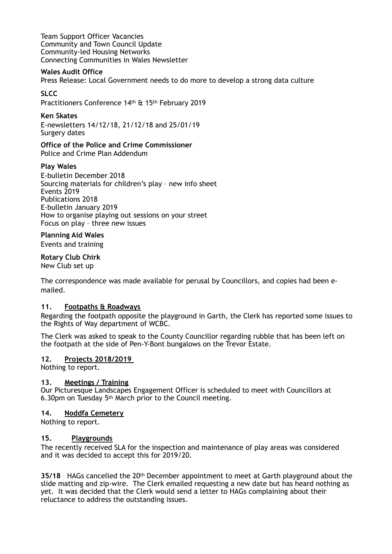Team Support Officer Vacancies Community and Town Council Update Community-led Housing Networks Connecting Communities in Wales Newsletter

### **Wales Audit Office**

Press Release: Local Government needs to do more to develop a strong data culture

# **SLCC**

Practitioners Conference 14th & 15th February 2019

# **Ken Skates**

E-newsletters 14/12/18, 21/12/18 and 25/01/19 Surgery dates

**Office of the Police and Crime Commissioner**  Police and Crime Plan Addendum

# **Play Wales**

E-bulletin December 2018 Sourcing materials for children's play – new info sheet Events 2019 Publications 2018 E-bulletin January 2019 How to organise playing out sessions on your street Focus on play – three new issues

## **Planning Aid Wales**

Events and training

# **Rotary Club Chirk**

New Club set up

The correspondence was made available for perusal by Councillors, and copies had been emailed.

## **11. Footpaths & Roadways**

Regarding the footpath opposite the playground in Garth, the Clerk has reported some issues to the Rights of Way department of WCBC.

The Clerk was asked to speak to the County Councillor regarding rubble that has been left on the footpath at the side of Pen-Y-Bont bungalows on the Trevor Estate.

## **12. Projects 2018/2019**

Nothing to report.

## **13. Meetings / Training**

Our Picturesque Landscapes Engagement Officer is scheduled to meet with Councillors at 6.30pm on Tuesday 5th March prior to the Council meeting.

## **14. Noddfa Cemetery**

Nothing to report.

## **15. Playgrounds**

The recently received SLA for the inspection and maintenance of play areas was considered and it was decided to accept this for 2019/20.

**35/18** HAGs cancelled the 20th December appointment to meet at Garth playground about the slide matting and zip-wire. The Clerk emailed requesting a new date but has heard nothing as yet. It was decided that the Clerk would send a letter to HAGs complaining about their reluctance to address the outstanding issues.